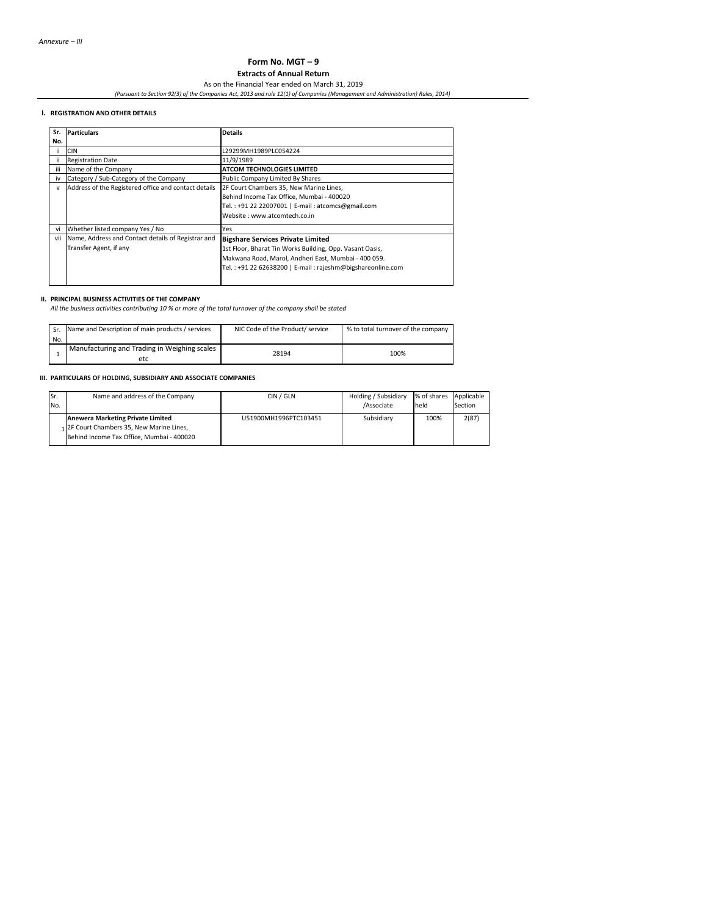# **Form No. MGT – 9**

**Extracts of Annual Return**

As on the Financial Year ended on March 31, 2019 *(Pursuant to Section 92(3) of the Companies Act, 2013 and rule 12(1) of Companies (Management and Administration) Rules, 2014)*

#### **I. REGISTRATION AND OTHER DETAILS**

| Sr. | <b>Particulars</b>                                   | <b>Details</b>                                             |
|-----|------------------------------------------------------|------------------------------------------------------------|
| No. |                                                      |                                                            |
|     | <b>CIN</b>                                           | L29299MH1989PLC054224                                      |
| ii. | <b>Registration Date</b>                             | 11/9/1989                                                  |
| iii | Name of the Company                                  | <b>ATCOM TECHNOLOGIES LIMITED</b>                          |
| iv  | Category / Sub-Category of the Company               | Public Company Limited By Shares                           |
| v   | Address of the Registered office and contact details | 2F Court Chambers 35, New Marine Lines,                    |
|     |                                                      | Behind Income Tax Office, Mumbai - 400020                  |
|     |                                                      | Tel.: +91 22 22007001   E-mail: atcomcs@gmail.com          |
|     |                                                      | Website: www.atcomtech.co.in                               |
| vi  | Whether listed company Yes / No                      | Yes                                                        |
| vii | Name, Address and Contact details of Registrar and   | <b>Bigshare Services Private Limited</b>                   |
|     | Transfer Agent, if any                               | 1st Floor, Bharat Tin Works Building, Opp. Vasant Oasis,   |
|     |                                                      | Makwana Road, Marol, Andheri East, Mumbai - 400 059.       |
|     |                                                      | Tel.: +91 22 62638200   E-mail: rajeshm@bigshareonline.com |
|     |                                                      |                                                            |
|     |                                                      |                                                            |

### **II. PRINCIPAL BUSINESS ACTIVITIES OF THE COMPANY**

*All the business activities contributing 10 % or more of the total turnover of the company shall be stated*

| Sr. | Name and Description of main products / services    | NIC Code of the Product/ service | % to total turnover of the company |
|-----|-----------------------------------------------------|----------------------------------|------------------------------------|
|     | No.                                                 |                                  |                                    |
|     | Manufacturing and Trading in Weighing scales<br>etc | 28194                            | 100%                               |

#### **III. PARTICULARS OF HOLDING, SUBSIDIARY AND ASSOCIATE COMPANIES**

| lSr. | Name and address of the Company                                                                                                    | CIN / GLN             | Holding / Subsidiary | % of shares Applicable |         |
|------|------------------------------------------------------------------------------------------------------------------------------------|-----------------------|----------------------|------------------------|---------|
| No.  |                                                                                                                                    |                       | /Associate           | held                   | Section |
|      | <b>Anewera Marketing Private Limited</b><br>1 2F Court Chambers 35, New Marine Lines,<br>Behind Income Tax Office. Mumbai - 400020 | U51900MH1996PTC103451 | Subsidiary           | 100%                   | 2(87)   |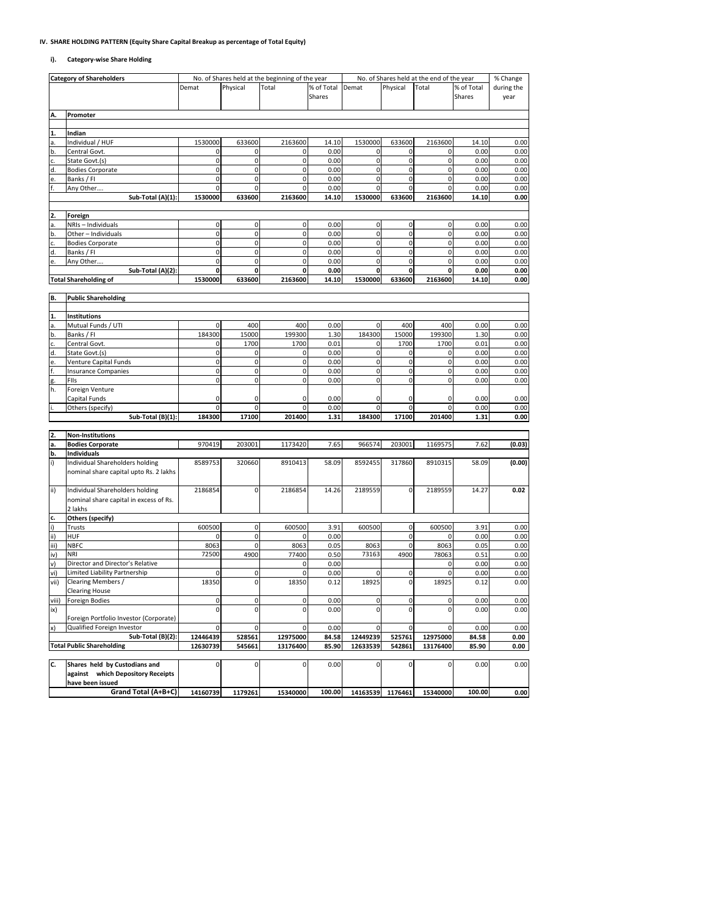#### **IV. SHARE HOLDING PATTERN (Equity Share Capital Breakup as percentage of Total Equity)**

#### **i). Category-wise Share Holding**

| <b>Category of Shareholders</b> |                                        |                     |             | No. of Shares held at the beginning of the year |            |                     |             | No. of Shares held at the end of the year |            | % Change   |
|---------------------------------|----------------------------------------|---------------------|-------------|-------------------------------------------------|------------|---------------------|-------------|-------------------------------------------|------------|------------|
|                                 |                                        | Demat               | Physical    | Total                                           | % of Total | Demat               | Physical    | Total                                     | % of Total | during the |
|                                 |                                        |                     |             |                                                 | Shares     |                     |             |                                           | Shares     | year       |
|                                 |                                        |                     |             |                                                 |            |                     |             |                                           |            |            |
| Α.                              | Promoter                               |                     |             |                                                 |            |                     |             |                                           |            |            |
|                                 |                                        |                     |             |                                                 |            |                     |             |                                           |            |            |
| 1.                              | Indian                                 |                     |             |                                                 |            |                     |             |                                           |            |            |
| а.                              | Individual / HUF                       | 1530000             | 633600      | 2163600                                         | 14.10      | 1530000             | 633600      | 2163600                                   | 14.10      | 0.00       |
| b.                              | Central Govt.                          | 0                   | $\mathbf 0$ | 0                                               | 0.00       | 0                   | 0           | 0                                         | 0.00       | 0.00       |
| c.                              | State Govt.(s)                         | $\mathbf 0$         | $\pmb{0}$   | $\mathbf 0$                                     | 0.00       | $\pmb{0}$           | $\pmb{0}$   | $\mathbf 0$                               | 0.00       | 0.00       |
| d.                              | <b>Bodies Corporate</b>                | 0                   | $\mathbf 0$ | $\mathbf 0$                                     | 0.00       | $\pmb{0}$           | $\pmb{0}$   | 0                                         | 0.00       | 0.00       |
| e.                              | Banks / FI                             | 0                   | $\mathbf 0$ | 0                                               | 0.00       | $\pmb{0}$           | $\pmb{0}$   | $\mathbf 0$                               | 0.00       | 0.00       |
|                                 | Any Other                              | 0                   | $\mathbf 0$ | $\mathbf 0$                                     | 0.00       | $\pmb{0}$           | $\mathbf 0$ | 0                                         | 0.00       | 0.00       |
|                                 | Sub-Total (A)(1):                      | 1530000             | 633600      | 2163600                                         | 14.10      | 1530000             | 633600      | 2163600                                   | 14.10      | 0.00       |
|                                 |                                        |                     |             |                                                 |            |                     |             |                                           |            |            |
| 2.                              | Foreign                                |                     |             |                                                 |            |                     |             |                                           |            |            |
|                                 | NRIs - Individuals                     | $\mathbf 0$         | $\pmb{0}$   | 0                                               | 0.00       | 0                   | 0           | $\mathbf 0$                               | 0.00       | 0.00       |
|                                 | Other - Individuals                    | $\mathsf{O}\xspace$ | $\mathbf 0$ | $\mathsf{O}\xspace$                             | 0.00       | $\mathsf{O}\xspace$ | $\pmb{0}$   | $\mathbf 0$                               | 0.00       | 0.00       |
|                                 | <b>Bodies Corporate</b>                | 0                   | 0           | 0                                               | 0.00       | $\mathbf 0$         | 0           | 0                                         | 0.00       | 0.00       |
| d.                              | Banks / FI                             | 0                   | $\mathbf 0$ | $\mathbf 0$                                     | 0.00       | $\pmb{0}$           | $\pmb{0}$   | $\pmb{0}$                                 | 0.00       | 0.00       |
|                                 | Any Other                              | $\mathbf 0$         | $\pmb{0}$   | $\mathbf 0$                                     | 0.00       | $\pmb{0}$           | $\pmb{0}$   | $\pmb{0}$                                 | 0.00       | 0.00       |
|                                 | Sub-Total (A)(2):                      | 0                   | 0           | 0                                               | 0.00       | 0                   | 0           | 0                                         | 0.00       | 0.00       |
|                                 | <b>Total Shareholding of</b>           | 1530000             | 633600      | 2163600                                         | 14.10      | 1530000             | 633600      | 2163600                                   | 14.10      | 0.00       |
|                                 |                                        |                     |             |                                                 |            |                     |             |                                           |            |            |
| B.                              | <b>Public Shareholding</b>             |                     |             |                                                 |            |                     |             |                                           |            |            |
|                                 |                                        |                     |             |                                                 |            |                     |             |                                           |            |            |
| 1.                              | Institutions                           |                     |             |                                                 |            |                     |             |                                           |            |            |
| a.                              | Mutual Funds / UTI                     | 0                   | 400         | 400                                             | 0.00       | 0                   | 400         | 400                                       | 0.00       | 0.00       |
| b.                              | Banks / FI                             | 184300              | 15000       | 199300                                          | 1.30       | 184300              | 15000       | 199300                                    | 1.30       | 0.00       |
|                                 | Central Govt.                          | 0                   | 1700        | 1700                                            | 0.01       | 0                   | 1700        | 1700                                      | 0.01       | 0.00       |
| d.                              | State Govt.(s)                         | $\mathsf{O}\xspace$ | $\mathbf 0$ | $\mathbf 0$                                     | 0.00       | $\pmb{0}$           | 0           | $\mathbf 0$                               | 0.00       | 0.00       |
| e.                              | Venture Capital Funds                  | $\mathbf 0$         | 0           | $\mathbf 0$                                     | 0.00       | $\pmb{0}$           | $\mathsf 0$ | $\mathbf 0$                               | 0.00       | 0.00       |
|                                 | <b>Insurance Companies</b>             | 0                   | 0           | 0                                               | 0.00       | $\mathbf 0$         | $\mathbf 0$ | 0                                         | 0.00       | 0.00       |
|                                 | FIIs                                   | $\mathsf{O}$        | $\mathbf 0$ | $\mathbf 0$                                     | 0.00       | $\mathbf 0$         | $\mathbf 0$ | $\mathbf 0$                               | 0.00       | 0.00       |
| h.                              | Foreign Venture                        |                     |             |                                                 |            |                     |             |                                           |            |            |
|                                 | Capital Funds                          | 0                   | $\mathbf 0$ | $\mathbf 0$                                     | 0.00       | 0                   | $\mathsf 0$ | $\overline{0}$                            | 0.00       | 0.00       |
|                                 | Others (specify)                       | $\mathbf 0$         | $\mathbf 0$ | $\mathbf 0$                                     | 0.00       | $\mathbf 0$         | $\mathbf 0$ | $\mathbf 0$                               | 0.00       | 0.00       |
|                                 | Sub-Total (B)(1):                      | 184300              | 17100       | 201400                                          | 1.31       | 184300              | 17100       | 201400                                    | 1.31       | 0.00       |
|                                 |                                        |                     |             |                                                 |            |                     |             |                                           |            |            |
| 2.                              | <b>Non-Institutions</b>                |                     |             |                                                 |            |                     |             |                                           |            |            |
| a.                              | <b>Bodies Corporate</b>                | 970419              | 203001      | 1173420                                         | 7.65       | 966574              | 203001      | 1169575                                   | 7.62       | (0.03)     |
| b.                              | <b>Individuals</b>                     |                     |             |                                                 |            |                     |             |                                           |            |            |
|                                 | Individual Shareholders holding        | 8589753             | 320660      | 8910413                                         | 58.09      | 8592455             | 317860      | 8910315                                   | 58.09      | (0.00)     |
|                                 | nominal share capital upto Rs. 2 lakhs |                     |             |                                                 |            |                     |             |                                           |            |            |
|                                 |                                        |                     |             |                                                 |            |                     |             |                                           |            |            |
| ii)                             | Individual Shareholders holding        | 2186854             | $\mathbf 0$ | 2186854                                         | 14.26      | 2189559             | 0           | 2189559                                   | 14.27      | 0.02       |
|                                 | nominal share capital in excess of Rs. |                     |             |                                                 |            |                     |             |                                           |            |            |
|                                 | 2 lakhs                                |                     |             |                                                 |            |                     |             |                                           |            |            |
| c.                              | Others (specify)                       |                     |             |                                                 |            |                     |             |                                           |            |            |
| i)                              | Trusts                                 | 600500              | $\pmb{0}$   | 600500                                          | 3.91       | 600500              | $\pmb{0}$   | 600500                                    | 3.91       | 0.00       |
| (ii                             | HUF                                    | 0                   | $\mathbf 0$ | 0                                               | 0.00       |                     | $\mathbf 0$ | $\mathbf 0$                               | 0.00       | 0.00       |
| iii)                            | <b>NBFC</b>                            | 8063                | $\pmb{0}$   | 8063                                            | 0.05       | 8063                | $\mathsf 0$ | 8063                                      | 0.05       | 0.00       |
| iv)                             | <b>NRI</b>                             | 72500               | 4900        | 77400                                           | 0.50       | 73163               | 4900        | 78063                                     | 0.51       | 0.00       |
| v)                              | Director and Director's Relative       |                     |             | 0                                               | 0.00       |                     |             | 0                                         | 0.00       | 0.00       |
| vi)                             | Limited Liability Partnership          | 0                   | $\mathbf 0$ | 0                                               | 0.00       | 0                   | 0           | 0                                         | 0.00       | 0.00       |
| vii)                            | Clearing Members /                     | 18350               | $\mathbf 0$ | 18350                                           | 0.12       | 18925               | 0           | 18925                                     | 0.12       | 0.00       |
|                                 | <b>Clearing House</b>                  |                     |             |                                                 |            |                     |             |                                           |            |            |
| viii)                           | <b>Foreign Bodies</b>                  | 0                   | $\mathbf 0$ | $\mathbf 0$                                     | 0.00       | 0                   | $\mathsf 0$ | $\overline{0}$                            | 0.00       | 0.00       |
| ix)                             |                                        | 0                   | $\mathbf 0$ | 0                                               | 0.00       | $\pmb{0}$           | $\mathbf 0$ | $\mathbf 0$                               | 0.00       | 0.00       |
|                                 | Foreign Portfolio Investor (Corporate) |                     |             |                                                 |            |                     |             |                                           |            |            |
| x)                              | Qualified Foreign Investor             | 0                   | 0           | 0                                               | 0.00       | $\mathbf 0$         | $\mathbf 0$ | 0                                         | 0.00       | 0.00       |
|                                 | Sub-Total (B)(2):                      | 12446439            | 528561      | 12975000                                        | 84.58      | 12449239            | 525761      | 12975000                                  | 84.58      | 0.00       |
|                                 | <b>Total Public Shareholding</b>       | 12630739            | 545661      | 13176400                                        | 85.90      | 12633539            | 542861      | 13176400                                  | 85.90      | 0.00       |
|                                 |                                        |                     |             |                                                 |            |                     |             |                                           |            |            |
| C.                              | Shares held by Custodians and          | $\mathsf{O}\xspace$ | $\pmb{0}$   | $\overline{0}$                                  | 0.00       | $\pmb{0}$           | $\mathsf 0$ | $\overline{0}$                            | 0.00       | 0.00       |
|                                 | against which Depository Receipts      |                     |             |                                                 |            |                     |             |                                           |            |            |
|                                 | have been issued                       |                     |             |                                                 |            |                     |             |                                           |            |            |
|                                 | Grand Total (A+B+C)                    | 14160739            | 1179261     | 15340000                                        | 100.00     | 14163539            | 1176461     | 15340000                                  | 100.00     | 0.00       |
|                                 |                                        |                     |             |                                                 |            |                     |             |                                           |            |            |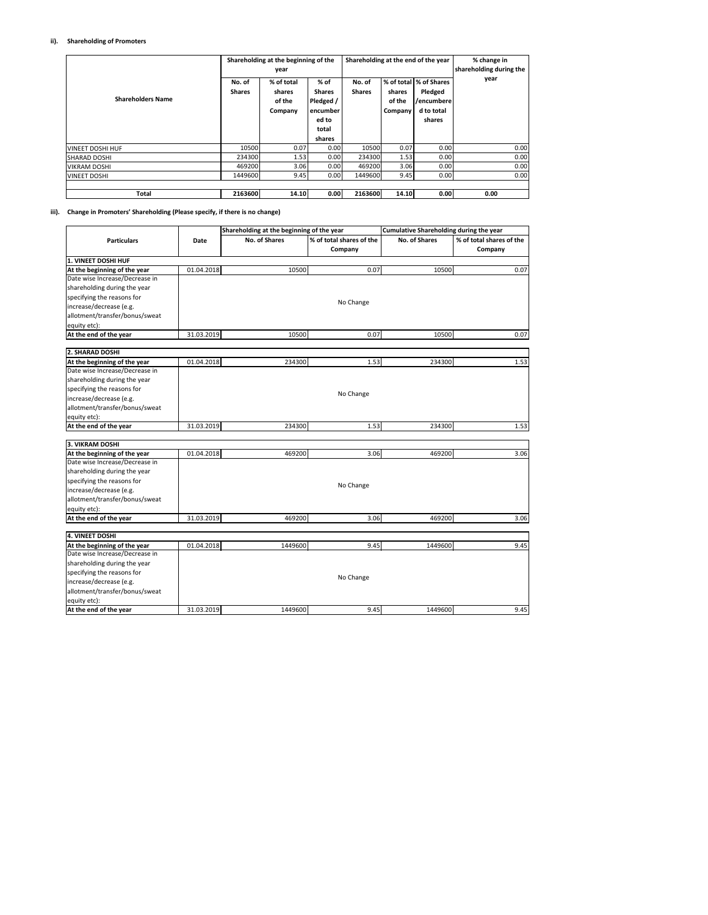#### **ii). Shareholding of Promoters**

| <b>Shareholders Name</b> | No. of<br><b>Shares</b> | Shareholding at the beginning of the<br>year<br>% of total<br>shares<br>of the<br>Company | $%$ of<br><b>Shares</b><br>Pledged /<br>encumber<br>ed to<br>total<br>shares | No. of<br><b>Shares</b> | shares<br>of the<br>Company | Shareholding at the end of the year<br>% of total 1% of Shares<br>Pledged<br>/encumberel<br>d to total<br>shares | % change in<br>shareholding during the<br>year |
|--------------------------|-------------------------|-------------------------------------------------------------------------------------------|------------------------------------------------------------------------------|-------------------------|-----------------------------|------------------------------------------------------------------------------------------------------------------|------------------------------------------------|
| <b>VINEET DOSHI HUF</b>  | 10500                   | 0.07                                                                                      | 0.00                                                                         | 10500                   | 0.07                        | 0.00                                                                                                             | 0.00                                           |
| <b>SHARAD DOSHI</b>      | 234300                  | 1.53                                                                                      | 0.00                                                                         | 234300                  | 1.53                        | 0.00                                                                                                             | 0.00                                           |
| <b>VIKRAM DOSHI</b>      | 469200                  | 3.06                                                                                      | 0.00                                                                         | 469200                  | 3.06                        | 0.00                                                                                                             | 0.00                                           |
| <b>VINEET DOSHI</b>      | 1449600                 | 9.45                                                                                      | 0.00                                                                         | 1449600                 | 9.45                        | 0.00                                                                                                             | 0.00                                           |
| <b>Total</b>             | 2163600                 | 14.10                                                                                     | 0.00                                                                         | 2163600                 | 14.10                       | 0.00                                                                                                             | 0.00                                           |

#### **iii). Change in Promoters' Shareholding (Please specify, if there is no change)**

|                                                                |            | Shareholding at the beginning of the year |                          | Cumulative Shareholding during the year |                          |
|----------------------------------------------------------------|------------|-------------------------------------------|--------------------------|-----------------------------------------|--------------------------|
| <b>Particulars</b>                                             | Date       | No. of Shares                             | % of total shares of the | No. of Shares                           | % of total shares of the |
|                                                                |            |                                           | Company                  |                                         | Company                  |
| 1. VINEET DOSHI HUF                                            |            |                                           |                          |                                         |                          |
| At the beginning of the year                                   | 01.04.2018 | 10500                                     | 0.07                     | 10500                                   | 0.07                     |
| Date wise Increase/Decrease in                                 |            |                                           |                          |                                         |                          |
| shareholding during the year                                   |            |                                           |                          |                                         |                          |
| specifying the reasons for                                     |            |                                           |                          |                                         |                          |
| increase/decrease (e.g.                                        |            |                                           | No Change                |                                         |                          |
| allotment/transfer/bonus/sweat                                 |            |                                           |                          |                                         |                          |
| equity etc):                                                   |            |                                           |                          |                                         |                          |
| At the end of the year                                         | 31.03.2019 | 10500                                     | 0.07                     | 10500                                   | 0.07                     |
|                                                                |            |                                           |                          |                                         |                          |
| 2. SHARAD DOSHI                                                |            |                                           |                          |                                         |                          |
| At the beginning of the year<br>Date wise Increase/Decrease in | 01.04.2018 | 234300                                    | 1.53                     | 234300                                  | 1.53                     |
|                                                                |            |                                           |                          |                                         |                          |
| shareholding during the year                                   |            |                                           |                          |                                         |                          |
| specifying the reasons for                                     |            |                                           | No Change                |                                         |                          |
| increase/decrease (e.g.                                        |            |                                           |                          |                                         |                          |
| allotment/transfer/bonus/sweat                                 |            |                                           |                          |                                         |                          |
| equity etc):                                                   |            |                                           |                          |                                         |                          |
| At the end of the year                                         | 31.03.2019 | 234300                                    | 1.53                     | 234300                                  | 1.53                     |
| 3. VIKRAM DOSHI                                                |            |                                           |                          |                                         |                          |
| At the beginning of the year                                   | 01.04.2018 | 469200                                    | 3.06                     | 469200                                  | 3.06                     |
| Date wise Increase/Decrease in                                 |            |                                           |                          |                                         |                          |
| shareholding during the year                                   |            |                                           |                          |                                         |                          |
| specifying the reasons for                                     |            |                                           |                          |                                         |                          |
| increase/decrease (e.g.                                        |            |                                           | No Change                |                                         |                          |
| allotment/transfer/bonus/sweat                                 |            |                                           |                          |                                         |                          |
| equity etc):                                                   |            |                                           |                          |                                         |                          |
| At the end of the year                                         | 31.03.2019 | 469200                                    | 3.06                     | 469200                                  | 3.06                     |
|                                                                |            |                                           |                          |                                         |                          |
| <b>4. VINEET DOSHI</b>                                         |            |                                           |                          |                                         |                          |
| At the beginning of the year                                   | 01.04.2018 | 1449600                                   | 9.45                     | 1449600                                 | 9.45                     |
| Date wise Increase/Decrease in                                 |            |                                           |                          |                                         |                          |
| shareholding during the year                                   |            |                                           |                          |                                         |                          |
| specifying the reasons for                                     |            |                                           | No Change                |                                         |                          |
| increase/decrease (e.g.                                        |            |                                           |                          |                                         |                          |
| allotment/transfer/bonus/sweat                                 |            |                                           |                          |                                         |                          |
| equity etc):                                                   |            |                                           |                          |                                         |                          |
| At the end of the year                                         | 31.03.2019 | 1449600                                   | 9.45                     | 1449600                                 | 9.45                     |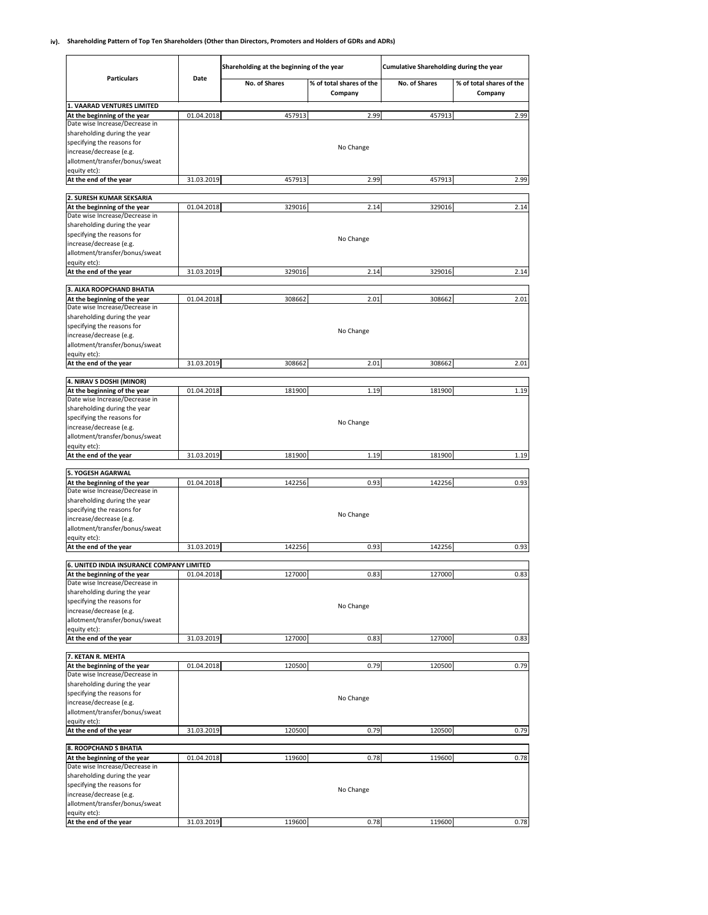#### **iv). Shareholding Pattern of Top Ten Shareholders (Other than Directors, Promoters and Holders of GDRs and ADRs)**

|                                                                |            | Shareholding at the beginning of the year |                                     | <b>Cumulative Shareholding during the year</b> |                                     |  |
|----------------------------------------------------------------|------------|-------------------------------------------|-------------------------------------|------------------------------------------------|-------------------------------------|--|
| <b>Particulars</b>                                             | Date       | No. of Shares                             | % of total shares of the<br>Company | <b>No. of Shares</b>                           | % of total shares of the<br>Company |  |
| 1. VAARAD VENTURES LIMITED<br>At the beginning of the year     | 01.04.2018 | 457913                                    | 2.99                                | 457913                                         | 2.99                                |  |
| Date wise Increase/Decrease in                                 |            |                                           |                                     |                                                |                                     |  |
| shareholding during the year                                   |            |                                           |                                     |                                                |                                     |  |
| specifying the reasons for                                     |            |                                           | No Change                           |                                                |                                     |  |
| increase/decrease (e.g.                                        |            |                                           |                                     |                                                |                                     |  |
| allotment/transfer/bonus/sweat<br>equity etc):                 |            |                                           |                                     |                                                |                                     |  |
| At the end of the year                                         | 31.03.2019 | 457913                                    | 2.99                                | 457913                                         | 2.99                                |  |
|                                                                |            |                                           |                                     |                                                |                                     |  |
| 2. SURESH KUMAR SEKSARIA                                       |            |                                           |                                     |                                                |                                     |  |
| At the beginning of the year<br>Date wise Increase/Decrease in | 01.04.2018 | 329016                                    | 2.14                                | 329016                                         | 2.14                                |  |
| shareholding during the year                                   |            |                                           |                                     |                                                |                                     |  |
| specifying the reasons for                                     |            |                                           | No Change                           |                                                |                                     |  |
| increase/decrease (e.g.                                        |            |                                           |                                     |                                                |                                     |  |
| allotment/transfer/bonus/sweat                                 |            |                                           |                                     |                                                |                                     |  |
| equity etc):<br>At the end of the year                         | 31.03.2019 | 329016                                    | 2.14                                | 329016                                         | 2.14                                |  |
|                                                                |            |                                           |                                     |                                                |                                     |  |
| 3. ALKA ROOPCHAND BHATIA                                       |            |                                           |                                     |                                                |                                     |  |
| At the beginning of the year<br>Date wise Increase/Decrease in | 01.04.2018 | 308662                                    | 2.01                                | 308662                                         | 2.01                                |  |
| shareholding during the year                                   |            |                                           |                                     |                                                |                                     |  |
| specifying the reasons for                                     |            |                                           |                                     |                                                |                                     |  |
| increase/decrease (e.g.                                        |            |                                           | No Change                           |                                                |                                     |  |
| allotment/transfer/bonus/sweat                                 |            |                                           |                                     |                                                |                                     |  |
| equity etc):<br>At the end of the year                         | 31.03.2019 | 308662                                    | 2.01                                | 308662                                         | 2.01                                |  |
|                                                                |            |                                           |                                     |                                                |                                     |  |
| 4. NIRAV S DOSHI (MINOR)                                       |            |                                           |                                     |                                                |                                     |  |
| At the beginning of the year                                   | 01.04.2018 | 181900                                    | 1.19                                | 181900                                         | 1.19                                |  |
| Date wise Increase/Decrease in<br>shareholding during the year |            |                                           |                                     |                                                |                                     |  |
| specifying the reasons for                                     |            |                                           |                                     |                                                |                                     |  |
| increase/decrease (e.g.                                        |            |                                           | No Change                           |                                                |                                     |  |
| allotment/transfer/bonus/sweat                                 |            |                                           |                                     |                                                |                                     |  |
| equity etc):                                                   |            |                                           |                                     |                                                |                                     |  |
| At the end of the year                                         | 31.03.2019 | 181900                                    | 1.19                                | 181900                                         | 1.19                                |  |
| 5. YOGESH AGARWAL                                              |            |                                           |                                     |                                                |                                     |  |
| At the beginning of the year                                   | 01.04.2018 | 142256                                    | 0.93                                | 142256                                         | 0.93                                |  |
| Date wise Increase/Decrease in<br>shareholding during the year |            |                                           |                                     |                                                |                                     |  |
| specifying the reasons for                                     |            |                                           |                                     |                                                |                                     |  |
| increase/decrease (e.g.                                        |            |                                           | No Change                           |                                                |                                     |  |
| allotment/transfer/bonus/sweat                                 |            |                                           |                                     |                                                |                                     |  |
| equity etc):                                                   |            |                                           |                                     |                                                |                                     |  |
| At the end of the year                                         | 31.03.2019 | 142256                                    | 0.93                                | 142256                                         | 0.93                                |  |
| 6. UNITED INDIA INSURANCE COMPANY LIMITED                      |            |                                           |                                     |                                                |                                     |  |
| At the beginning of the year                                   | 01.04.2018 | 127000                                    | 0.83                                | 127000                                         | 0.83                                |  |
| Date wise Increase/Decrease in<br>shareholding during the year |            |                                           |                                     |                                                |                                     |  |
| specifying the reasons for                                     |            |                                           |                                     |                                                |                                     |  |
| increase/decrease (e.g.                                        |            |                                           | No Change                           |                                                |                                     |  |
| allotment/transfer/bonus/sweat                                 |            |                                           |                                     |                                                |                                     |  |
| equity etc):                                                   |            |                                           |                                     |                                                |                                     |  |
| At the end of the year                                         | 31.03.2019 | 127000                                    | 0.83                                | 127000                                         | 0.83                                |  |
| 7. KETAN R. MEHTA                                              |            |                                           |                                     |                                                |                                     |  |
| At the beginning of the year                                   | 01.04.2018 | 120500                                    | 0.79                                | 120500                                         | 0.79                                |  |
| Date wise Increase/Decrease in<br>shareholding during the year |            |                                           |                                     |                                                |                                     |  |
| specifying the reasons for                                     |            |                                           |                                     |                                                |                                     |  |
| increase/decrease (e.g.                                        |            |                                           | No Change                           |                                                |                                     |  |
| allotment/transfer/bonus/sweat                                 |            |                                           |                                     |                                                |                                     |  |
| equity etc):                                                   |            |                                           |                                     |                                                |                                     |  |
| At the end of the year                                         | 31.03.2019 | 120500                                    | 0.79                                | 120500                                         | 0.79                                |  |
| 8. ROOPCHAND S BHATIA                                          |            |                                           |                                     |                                                |                                     |  |
| At the beginning of the year                                   | 01.04.2018 | 119600                                    | 0.78                                | 119600                                         | 0.78                                |  |
| Date wise Increase/Decrease in                                 |            |                                           |                                     |                                                |                                     |  |
| shareholding during the year<br>specifying the reasons for     |            |                                           |                                     |                                                |                                     |  |
| increase/decrease (e.g.                                        |            |                                           | No Change                           |                                                |                                     |  |
| allotment/transfer/bonus/sweat                                 |            |                                           |                                     |                                                |                                     |  |
| equity etc):                                                   |            |                                           |                                     |                                                |                                     |  |
| At the end of the year                                         | 31.03.2019 | 119600                                    | 0.78                                | 119600                                         | 0.78                                |  |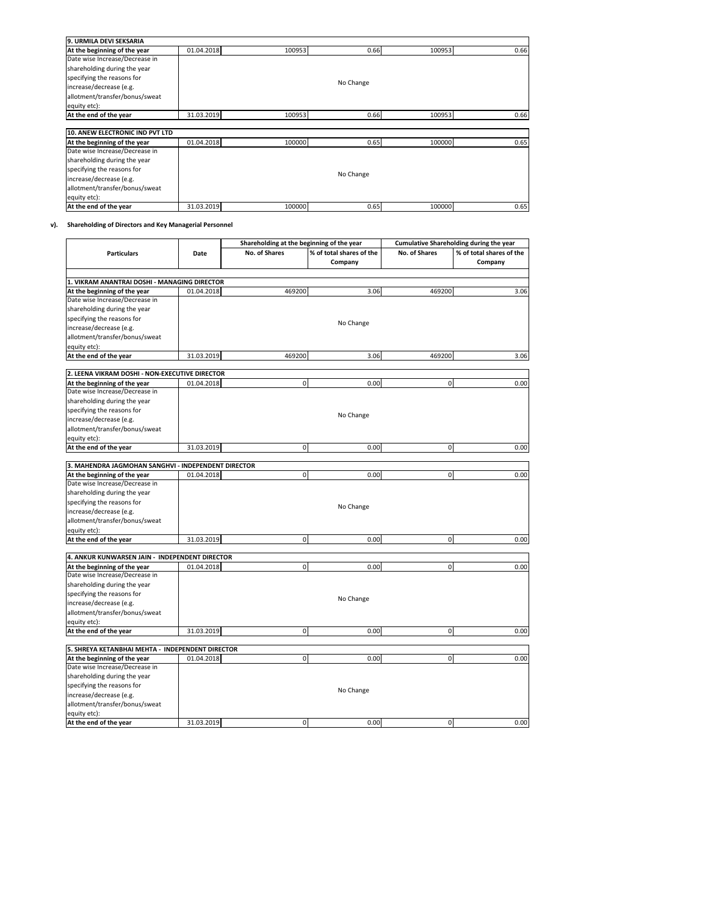| 9. URMILA DEVI SEKSARIA         |            |        |           |        |      |
|---------------------------------|------------|--------|-----------|--------|------|
| At the beginning of the year    | 01.04.2018 | 100953 | 0.66      | 100953 | 0.66 |
| Date wise Increase/Decrease in  |            |        |           |        |      |
| shareholding during the year    |            |        |           |        |      |
| specifying the reasons for      |            |        |           |        |      |
| increase/decrease (e.g.         |            |        | No Change |        |      |
| allotment/transfer/bonus/sweat  |            |        |           |        |      |
| equity etc):                    |            |        |           |        |      |
| At the end of the year          | 31.03.2019 | 100953 | 0.66      | 100953 | 0.66 |
|                                 |            |        |           |        |      |
| 10. ANEW ELECTRONIC IND PVT LTD |            |        |           |        |      |
| At the beginning of the year    | 01.04.2018 | 100000 | 0.65      | 100000 | 0.65 |
| Date wise Increase/Decrease in  |            |        |           |        |      |
| shareholding during the year    |            |        |           |        |      |
| specifying the reasons for      |            |        |           |        |      |
| increase/decrease (e.g.         |            |        | No Change |        |      |
| allotment/transfer/bonus/sweat  |            |        |           |        |      |
| equity etc):                    |            |        |           |        |      |
| At the end of the year          | 31.03.2019 | 100000 | 0.65      | 100000 | 0.65 |

### **v). Shareholding of Directors and Key Managerial Personnel**

÷

 $\blacksquare$ 

|                                                                |            | Shareholding at the beginning of the year |                          | Cumulative Shareholding during the year |                          |  |
|----------------------------------------------------------------|------------|-------------------------------------------|--------------------------|-----------------------------------------|--------------------------|--|
| <b>Particulars</b>                                             | Date       | No. of Shares                             | % of total shares of the | <b>No. of Shares</b>                    | % of total shares of the |  |
|                                                                |            |                                           | Company                  |                                         | Company                  |  |
|                                                                |            |                                           |                          |                                         |                          |  |
| 1. VIKRAM ANANTRAI DOSHI - MANAGING DIRECTOR                   |            |                                           |                          |                                         |                          |  |
| At the beginning of the year                                   | 01.04.2018 | 469200                                    | 3.06                     | 469200                                  | 3.06                     |  |
| Date wise Increase/Decrease in                                 |            |                                           |                          |                                         |                          |  |
| shareholding during the year                                   |            |                                           |                          |                                         |                          |  |
| specifying the reasons for                                     |            |                                           | No Change                |                                         |                          |  |
| increase/decrease (e.g.                                        |            |                                           |                          |                                         |                          |  |
| allotment/transfer/bonus/sweat                                 |            |                                           |                          |                                         |                          |  |
| equity etc):                                                   |            |                                           |                          |                                         |                          |  |
| At the end of the year                                         | 31.03.2019 | 469200                                    | 3.06                     | 469200                                  | 3.06                     |  |
| 2. LEENA VIKRAM DOSHI - NON-EXECUTIVE DIRECTOR                 |            |                                           |                          |                                         |                          |  |
| At the beginning of the year                                   | 01.04.2018 | 0                                         | 0.00                     | $\mathbf 0$                             | 0.00                     |  |
| Date wise Increase/Decrease in                                 |            |                                           |                          |                                         |                          |  |
| shareholding during the year                                   |            |                                           |                          |                                         |                          |  |
| specifying the reasons for                                     |            |                                           |                          |                                         |                          |  |
| increase/decrease (e.g.                                        |            |                                           | No Change                |                                         |                          |  |
| allotment/transfer/bonus/sweat                                 |            |                                           |                          |                                         |                          |  |
| equity etc):                                                   |            |                                           |                          |                                         |                          |  |
| At the end of the year                                         | 31.03.2019 | $\mathsf{o}$                              | 0.00                     | $\mathbf 0$                             | 0.00                     |  |
|                                                                |            |                                           |                          |                                         |                          |  |
| 3. MAHENDRA JAGMOHAN SANGHVI - INDEPENDENT DIRECTOR            |            |                                           |                          |                                         |                          |  |
| At the beginning of the year                                   | 01.04.2018 | $\mathbf{0}$                              | 0.00                     | $\overline{0}$                          | 0.00                     |  |
| Date wise Increase/Decrease in                                 |            |                                           |                          |                                         |                          |  |
| shareholding during the year                                   |            |                                           |                          |                                         |                          |  |
| specifying the reasons for                                     |            |                                           |                          |                                         |                          |  |
| increase/decrease (e.g.                                        |            |                                           | No Change                |                                         |                          |  |
| allotment/transfer/bonus/sweat                                 |            |                                           |                          |                                         |                          |  |
| equity etc):                                                   |            |                                           |                          |                                         |                          |  |
| At the end of the year                                         | 31.03.2019 | $\circ$                                   | 0.00                     | $\circ$                                 | 0.00                     |  |
|                                                                |            |                                           |                          |                                         |                          |  |
| 4. ANKUR KUNWARSEN JAIN - INDEPENDENT DIRECTOR                 |            |                                           |                          |                                         |                          |  |
| At the beginning of the year                                   | 01.04.2018 | $\mathbf{0}$                              | 0.00                     | $\mathbf 0$                             | 0.00                     |  |
| Date wise Increase/Decrease in                                 |            |                                           |                          |                                         |                          |  |
| shareholding during the year                                   |            |                                           |                          |                                         |                          |  |
| specifying the reasons for                                     |            |                                           | No Change                |                                         |                          |  |
| increase/decrease (e.g.                                        |            |                                           |                          |                                         |                          |  |
| allotment/transfer/bonus/sweat                                 |            |                                           |                          |                                         |                          |  |
| equity etc):                                                   |            |                                           |                          |                                         |                          |  |
| At the end of the year                                         | 31.03.2019 | $\overline{0}$                            | 0.00                     | $\mathbf 0$                             | 0.00                     |  |
|                                                                |            |                                           |                          |                                         |                          |  |
| 5. SHREYA KETANBHAI MEHTA - INDEPENDENT DIRECTOR               |            |                                           |                          |                                         |                          |  |
| At the beginning of the year<br>Date wise Increase/Decrease in | 01.04.2018 | $\mathsf{o}$                              | 0.00                     | $\mathbf 0$                             | 0.00                     |  |
|                                                                |            |                                           |                          |                                         |                          |  |
| shareholding during the year                                   |            |                                           |                          |                                         |                          |  |
| specifying the reasons for                                     |            |                                           | No Change                |                                         |                          |  |
| increase/decrease (e.g.                                        |            |                                           |                          |                                         |                          |  |
| allotment/transfer/bonus/sweat                                 |            |                                           |                          |                                         |                          |  |
| equity etc):                                                   |            |                                           |                          |                                         |                          |  |
| At the end of the year                                         | 31.03.2019 | $\circ$                                   | 0.00                     | $\circ$                                 | 0.00                     |  |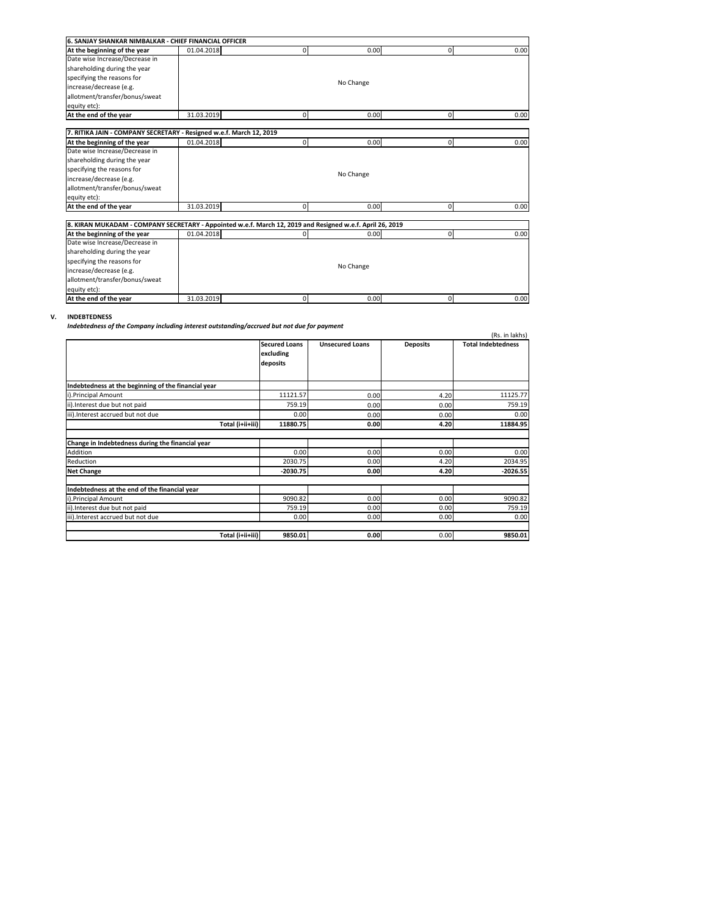| <b>6. SANJAY SHANKAR NIMBALKAR - CHIEF FINANCIAL OFFICER</b>                                              |            |             |           |              |      |
|-----------------------------------------------------------------------------------------------------------|------------|-------------|-----------|--------------|------|
| At the beginning of the year                                                                              | 01.04.2018 | $\Omega$    | 0.00      | $\mathbf{0}$ | 0.00 |
| Date wise Increase/Decrease in                                                                            |            |             |           |              |      |
| shareholding during the year                                                                              |            |             |           |              |      |
| specifying the reasons for                                                                                |            |             |           |              |      |
| increase/decrease (e.g.                                                                                   |            |             | No Change |              |      |
| allotment/transfer/bonus/sweat                                                                            |            |             |           |              |      |
| equity etc):                                                                                              |            |             |           |              |      |
| At the end of the year                                                                                    | 31.03.2019 | $\Omega$    | 0.00      | $\Omega$     | 0.00 |
|                                                                                                           |            |             |           |              |      |
| 7. RITIKA JAIN - COMPANY SECRETARY - Resigned w.e.f. March 12, 2019                                       |            |             |           |              |      |
| At the beginning of the year                                                                              | 01.04.2018 | $\Omega$    | 0.00      | $\mathbf 0$  | 0.00 |
| Date wise Increase/Decrease in                                                                            |            |             |           |              |      |
| shareholding during the year                                                                              |            |             |           |              |      |
| specifying the reasons for                                                                                |            |             |           |              |      |
| increase/decrease (e.g.                                                                                   |            |             | No Change |              |      |
| allotment/transfer/bonus/sweat                                                                            |            |             |           |              |      |
| equity etc):                                                                                              |            |             |           |              |      |
| At the end of the year                                                                                    | 31.03.2019 | $\mathbf 0$ | 0.00      | $\mathbf{0}$ | 0.00 |
|                                                                                                           |            |             |           |              |      |
| 8. KIRAN MUKADAM - COMPANY SECRETARY - Appointed w.e.f. March 12, 2019 and Resigned w.e.f. April 26, 2019 |            |             |           |              |      |
| At the beginning of the year                                                                              | 01.04.2018 | $\Omega$    | 0.00      | $\mathbf{0}$ | 0.00 |
| Date wise Increase/Decrease in                                                                            |            |             |           |              |      |
| shareholding during the year                                                                              |            |             |           |              |      |
| specifying the reasons for                                                                                |            |             |           |              |      |
| increase/decrease (e.g.                                                                                   |            |             | No Change |              |      |

### **V. INDEBTEDNESS**

allotment/transfer/bonus/sweat

equity etc):<br> **At the end of the year** 31.03.2019

*Indebtedness of the Company including interest outstanding/accrued but not due for payment*

|                                                     |                                               |                        |                 | (Rs. in lakhs)            |
|-----------------------------------------------------|-----------------------------------------------|------------------------|-----------------|---------------------------|
|                                                     | <b>Secured Loans</b><br>excluding<br>deposits | <b>Unsecured Loans</b> | <b>Deposits</b> | <b>Total Indebtedness</b> |
| Indebtedness at the beginning of the financial year |                                               |                        |                 |                           |
| i).Principal Amount                                 | 11121.57                                      | 0.00                   | 4.20            | 11125.77                  |
| ii). Interest due but not paid                      | 759.19                                        | 0.00                   | 0.00            | 759.19                    |
| iii). Interest accrued but not due                  | 0.00                                          | 0.00                   | 0.00            | 0.00                      |
| Total (i+ii+iii)                                    | 11880.75                                      | 0.00                   | 4.20            | 11884.95                  |
|                                                     |                                               |                        |                 |                           |
| Change in Indebtedness during the financial year    |                                               |                        |                 |                           |
| Addition                                            | 0.00                                          | 0.00                   | 0.00            | 0.00                      |
| Reduction                                           | 2030.75                                       | 0.00                   | 4.20            | 2034.95                   |
| <b>Net Change</b>                                   | $-2030.75$                                    | 0.00                   | 4.20            | $-2026.55$                |
|                                                     |                                               |                        |                 |                           |
| Indebtedness at the end of the financial year       |                                               |                        |                 |                           |
| i).Principal Amount                                 | 9090.82                                       | 0.00                   | 0.00            | 9090.82                   |
| ii). Interest due but not paid                      | 759.19                                        | 0.00                   | 0.00            | 759.19                    |
| iii). Interest accrued but not due                  | 0.00                                          | 0.00                   | 0.00            | 0.00                      |
|                                                     |                                               |                        |                 |                           |
| Total (i+ii+iii)                                    | 9850.01                                       | 0.00                   | 0.00            | 9850.01                   |

0

 $0.00$  0

0.00